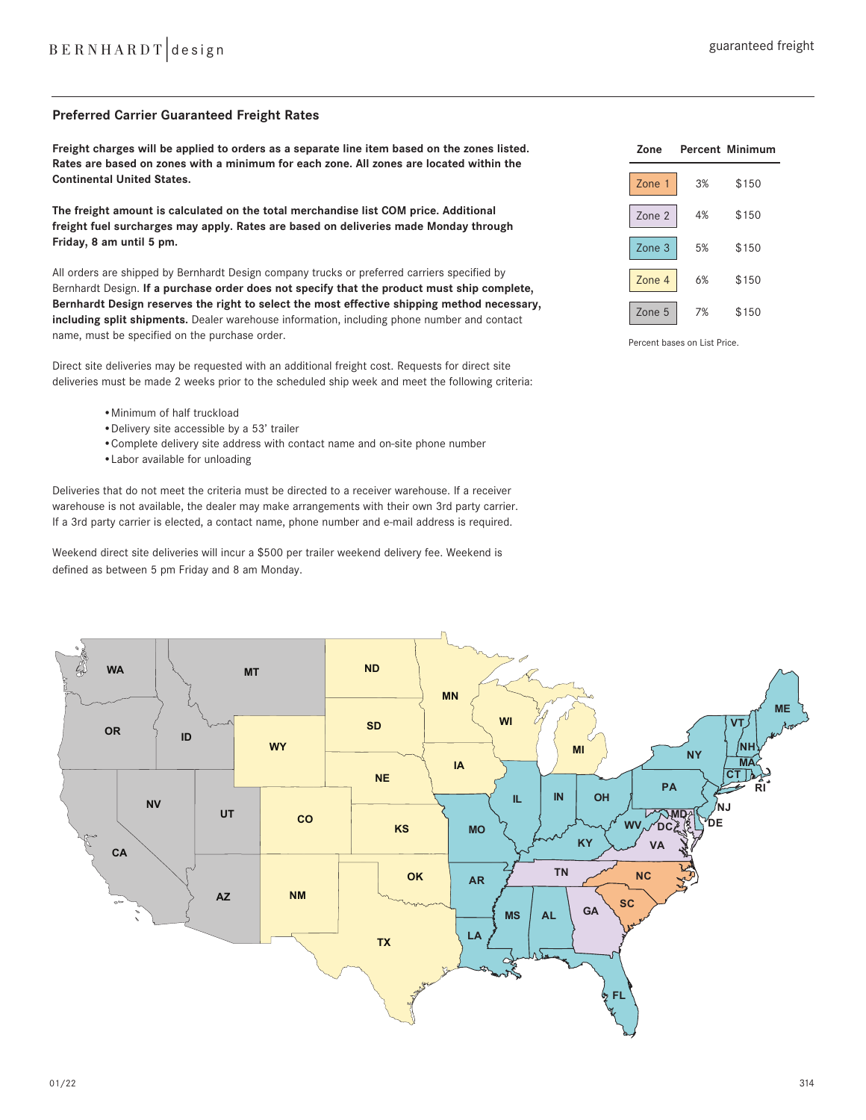## **Preferred Carrier Guaranteed Freight Rates**

**Freight charges will be applied to orders as a separate line item based on the zones listed. Rates are based on zones with a minimum for each zone. All zones are located within the Continental United States.** 

**The freight amount is calculated on the total merchandise list COM price. Additional freight fuel surcharges may apply. Rates are based on deliveries made Monday through Friday, 8 am until 5 pm.** 

All orders are shipped by Bernhardt Design company trucks or preferred carriers specified by Bernhardt Design. **If a purchase order does not specify that the product must ship complete, Bernhardt Design reserves the right to select the most effective shipping method necessary, including split shipments.** Dealer warehouse information, including phone number and contact name, must be specified on the purchase order.

Direct site deliveries may be requested with an additional freight cost. Requests for direct site deliveries must be made 2 weeks prior to the scheduled ship week and meet the following criteria:

- •Minimum of half truckload
- •Delivery site accessible by a 53' trailer
- •Complete delivery site address with contact name and on-site phone number
- •Labor available for unloading

Deliveries that do not meet the criteria must be directed to a receiver warehouse. If a receiver warehouse is not available, the dealer may make arrangements with their own 3rd party carrier. If a 3rd party carrier is elected, a contact name, phone number and e-mail address is required.

Weekend direct site deliveries will incur a \$500 per trailer weekend delivery fee. Weekend is defined as between 5 pm Friday and 8 am Monday.



Percent bases on List Price.